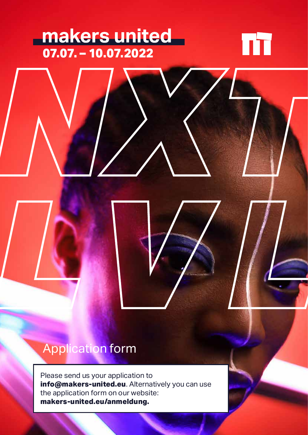## **07.07. – 10.07.2022** *NXT*



## Application form

Please send us your application to **info@makers-united.eu**. Alternatively you can use the application form on our website: **makers-united.eu/anmeldung.**

*LVL*